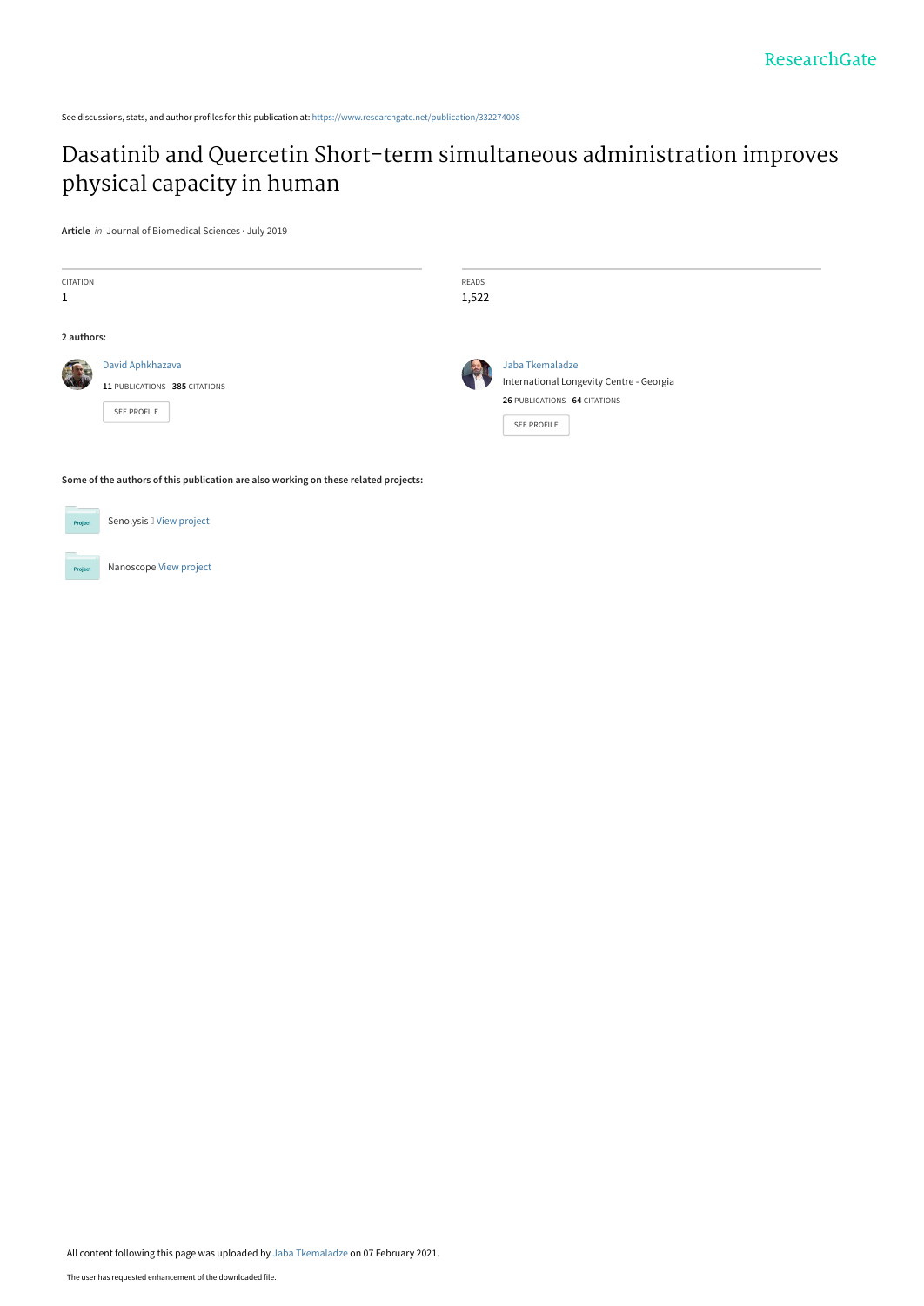See discussions, stats, and author profiles for this publication at: [https://www.researchgate.net/publication/332274008](https://www.researchgate.net/publication/332274008_Dasatinib_and_Quercetin_Short-term_simultaneous_administration_improves_physical_capacity_in_human?enrichId=rgreq-19b0778256ccade7d0619d1befc34d53-XXX&enrichSource=Y292ZXJQYWdlOzMzMjI3NDAwODtBUzo5ODg2MTM3MzUxMTI3MDRAMTYxMjcxNTI5MDQ5OQ%3D%3D&el=1_x_2&_esc=publicationCoverPdf)

# [Dasatinib and Quercetin Short-term simultaneous administration improves](https://www.researchgate.net/publication/332274008_Dasatinib_and_Quercetin_Short-term_simultaneous_administration_improves_physical_capacity_in_human?enrichId=rgreq-19b0778256ccade7d0619d1befc34d53-XXX&enrichSource=Y292ZXJQYWdlOzMzMjI3NDAwODtBUzo5ODg2MTM3MzUxMTI3MDRAMTYxMjcxNTI5MDQ5OQ%3D%3D&el=1_x_3&_esc=publicationCoverPdf) physical capacity in human

**Article** in Journal of Biomedical Sciences · July 2019

| <b>CITATION</b><br>1                                                                |                                                                         | READS<br>1,522 |                                                                                                |
|-------------------------------------------------------------------------------------|-------------------------------------------------------------------------|----------------|------------------------------------------------------------------------------------------------|
| 2 authors:                                                                          | David Aphkhazava<br>11 PUBLICATIONS 385 CITATIONS<br><b>SEE PROFILE</b> |                | Jaba Tkemaladze                                                                                |
|                                                                                     |                                                                         |                | International Longevity Centre - Georgia<br>26 PUBLICATIONS 64 CITATIONS<br><b>SEE PROFILE</b> |
| Some of the authors of this publication are also working on these related projects: |                                                                         |                |                                                                                                |



Nanoscope [View project](https://www.researchgate.net/project/Nanoscope?enrichId=rgreq-19b0778256ccade7d0619d1befc34d53-XXX&enrichSource=Y292ZXJQYWdlOzMzMjI3NDAwODtBUzo5ODg2MTM3MzUxMTI3MDRAMTYxMjcxNTI5MDQ5OQ%3D%3D&el=1_x_9&_esc=publicationCoverPdf)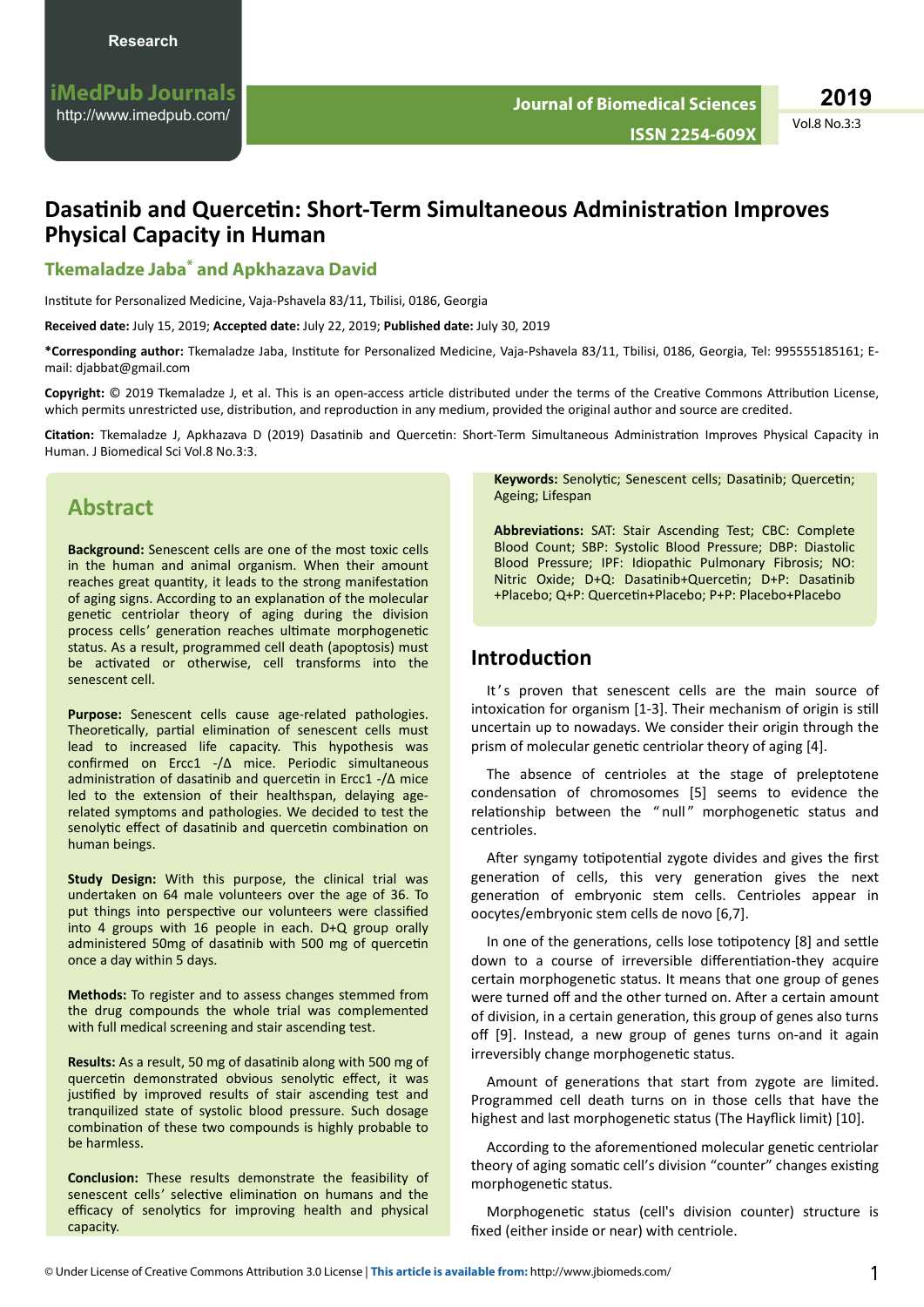## **Dasatinib and Quercetin: Short-Term Simultaneous Administration Improves Physical Capacity in Human**

### **Tkemaladze Jaba\* and Apkhazava David**

Institute for Personalized Medicine, Vaja-Pshavela 83/11, Tbilisi, 0186, Georgia

**Received date:** July 15, 2019; **Accepted date:** July 22, 2019; **Published date:** July 30, 2019

\*Corresponding author: Tkemaladze Jaba, Institute for Personalized Medicine, Vaja-Pshavela 83/11, Tbilisi, 0186, Georgia, Tel: 995555185161; Email: djabbat@gmail.com

Copyright: © 2019 Tkemaladze J, et al. This is an open-access article distributed under the terms of the Creative Commons Attribution License, which permits unrestricted use, distribution, and reproduction in any medium, provided the original author and source are credited.

Citation: Tkemaladze J, Apkhazava D (2019) Dasatinib and Quercetin: Short-Term Simultaneous Administration Improves Physical Capacity in Human. J Biomedical Sci Vol.8 No.3:3.

## **Abstract**

**Background:** Senescent cells are one of the most toxic cells in the human and animal organism. When their amount reaches great quantity, it leads to the strong manifestation of aging signs. According to an explanation of the molecular genetic centriolar theory of aging during the division process cells' generation reaches ultimate morphogenetic status. As a result, programmed cell death (apoptosis) must be activated or otherwise, cell transforms into the senescent cell.

**Purpose:** Senescent cells cause age-related pathologies. Theoretically, partial elimination of senescent cells must lead to increased life capacity. This hypothesis was confirmed on Ercc1 -/Δ mice. Periodic simultaneous administration of dasatinib and quercetin in Ercc1 -/Δ mice led to the extension of their healthspan, delaying agerelated symptoms and pathologies. We decided to test the senolytic effect of dasatinib and quercetin combination on human beings.

**Study Design:** With this purpose, the clinical trial was undertaken on 64 male volunteers over the age of 36. To put things into perspective our volunteers were classified into 4 groups with 16 people in each. D+Q group orally administered 50mg of dasatinib with 500 mg of quercetin once a day within 5 days.

**Methods:** To register and to assess changes stemmed from the drug compounds the whole trial was complemented with full medical screening and stair ascending test.

**Results:** As a result, 50 mg of dasatinib along with 500 mg of quercetin demonstrated obvious senolytic effect, it was justified by improved results of stair ascending test and tranquilized state of systolic blood pressure. Such dosage combination of these two compounds is highly probable to be harmless.

**Conclusion:** These results demonstrate the feasibility of senescent cells' selective elimination on humans and the efficacy of senolytics for improving health and physical capacity.

Keywords: Senolytic; Senescent cells; Dasatinib; Quercetin; Ageing; Lifespan

Abbreviations: SAT: Stair Ascending Test; CBC: Complete Blood Count; SBP: Systolic Blood Pressure; DBP: Diastolic Blood Pressure; IPF: Idiopathic Pulmonary Fibrosis; NO: Nitric Oxide; D+Q: Dasatinib+Quercetin; D+P: Dasatinib +Placebo; Q+P: Quercetin+Placebo; P+P: Placebo+Placebo

### **Introduction**

It's proven that senescent cells are the main source of intoxication for organism [1-3]. Their mechanism of origin is still uncertain up to nowadays. We consider their origin through the prism of molecular genetic centriolar theory of aging [4].

The absence of centrioles at the stage of preleptotene condensation of chromosomes [5] seems to evidence the relationship between the " null" morphogenetic status and centrioles.

After syngamy totipotential zygote divides and gives the first generation of cells, this very generation gives the next generation of embryonic stem cells. Centrioles appear in oocytes/embryonic stem cells de novo [6,7].

In one of the generations, cells lose totipotency [8] and settle down to a course of irreversible differentiation-they acquire certain morphogenetic status. It means that one group of genes were turned off and the other turned on. After a certain amount of division, in a certain generation, this group of genes also turns off [9]. Instead, a new group of genes turns on-and it again irreversibly change morphogenetic status.

Amount of generations that start from zygote are limited. Programmed cell death turns on in those cells that have the highest and last morphogenetic status (The Hayflick limit) [10].

According to the aforementioned molecular genetic centriolar theory of aging somatic cell's division "counter" changes existing morphogenetic status.

Morphogenetic status (cell's division counter) structure is fixed (either inside or near) with centriole.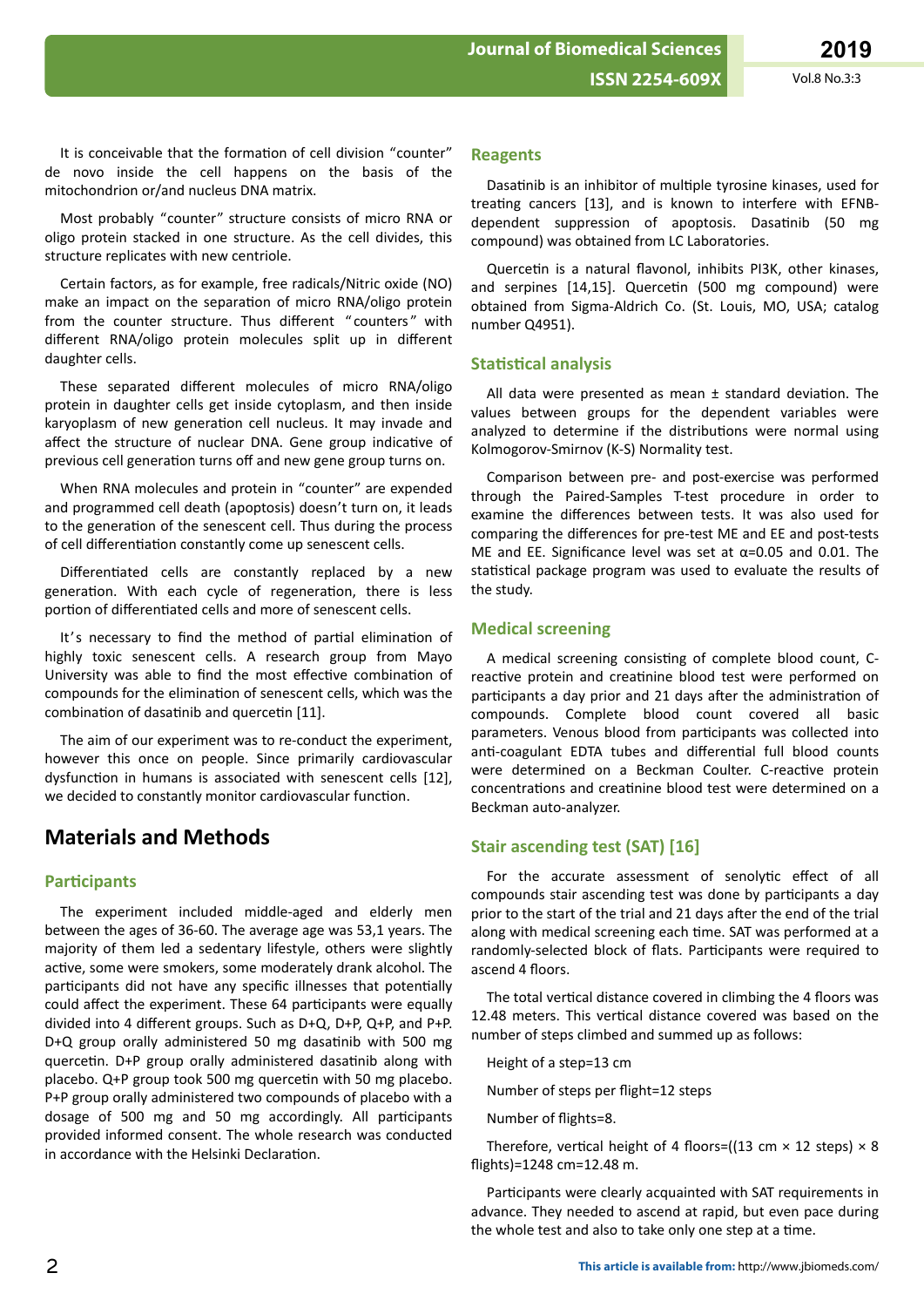It is conceivable that the formation of cell division "counter" de novo inside the cell happens on the basis of the

Most probably "counter" structure consists of micro RNA or oligo protein stacked in one structure. As the cell divides, this structure replicates with new centriole.

mitochondrion or/and nucleus DNA matrix.

Certain factors, as for example, free radicals/Nitric oxide (NO) make an impact on the separation of micro RNA/oligo protein from the counter structure. Thus different "counters" with different RNA/oligo protein molecules split up in different daughter cells.

These separated different molecules of micro RNA/oligo protein in daughter cells get inside cytoplasm, and then inside karyoplasm of new generation cell nucleus. It may invade and affect the structure of nuclear DNA. Gene group indicative of previous cell generation turns off and new gene group turns on.

When RNA molecules and protein in "counter" are expended and programmed cell death (apoptosis) doesn't turn on, it leads to the generation of the senescent cell. Thus during the process of cell differentiation constantly come up senescent cells.

Differentiated cells are constantly replaced by a new generation. With each cycle of regeneration, there is less portion of differentiated cells and more of senescent cells.

It's necessary to find the method of partial elimination of highly toxic senescent cells. A research group from Mayo University was able to find the most effective combination of compounds for the elimination of senescent cells, which was the combination of dasatinib and quercetin [11].

The aim of our experiment was to re-conduct the experiment, however this once on people. Since primarily cardiovascular dysfunction in humans is associated with senescent cells [12], we decided to constantly monitor cardiovascular function.

## **Materials and Methods**

#### **Participants**

The experiment included middle-aged and elderly men between the ages of 36-60. The average age was 53,1 years. The majority of them led a sedentary lifestyle, others were slightly active, some were smokers, some moderately drank alcohol. The participants did not have any specific illnesses that potentially could affect the experiment. These 64 participants were equally divided into 4 different groups. Such as D+Q, D+P, Q+P, and P+P. D+Q group orally administered 50 mg dasatinib with 500 mg quercetin. D+P group orally administered dasatinib along with placebo. Q+P group took 500 mg quercetin with 50 mg placebo. P+P group orally administered two compounds of placebo with a dosage of 500 mg and 50 mg accordingly. All participants provided informed consent. The whole research was conducted in accordance with the Helsinki Declaration.

#### **Reagents**

Dasatinib is an inhibitor of multiple tyrosine kinases, used for treating cancers [13], and is known to interfere with EFNBdependent suppression of apoptosis. Dasatinib (50 mg compound) was obtained from LC Laboratories.

Quercetin is a natural flavonol, inhibits PI3K, other kinases, and serpines [14,15]. Quercetin (500 mg compound) were obtained from Sigma-Aldrich Co. (St. Louis, MO, USA; catalog number Q4951).

#### **Statistical analysis**

All data were presented as mean  $±$  standard deviation. The values between groups for the dependent variables were analyzed to determine if the distributions were normal using Kolmogorov-Smirnov (K-S) Normality test.

Comparison between pre- and post-exercise was performed through the Paired-Samples T-test procedure in order to examine the differences between tests. It was also used for comparing the differences for pre-test ME and EE and post-tests ME and EE. Significance level was set at  $\alpha$ =0.05 and 0.01. The statistical package program was used to evaluate the results of the study.

#### **Medical screening**

A medical screening consisting of complete blood count, Creactive protein and creatinine blood test were performed on participants a day prior and 21 days after the administration of compounds. Complete blood count covered all basic parameters. Venous blood from participants was collected into anti-coagulant EDTA tubes and differential full blood counts were determined on a Beckman Coulter. C-reactive protein concentrations and creatinine blood test were determined on a Beckman auto-analyzer.

### **Stair ascending test (SAT) [16]**

For the accurate assessment of senolytic effect of all compounds stair ascending test was done by participants a day prior to the start of the trial and 21 days after the end of the trial along with medical screening each time. SAT was performed at a randomly-selected block of flats. Participants were required to ascend 4 floors.

The total vertical distance covered in climbing the 4 floors was 12.48 meters. This vertical distance covered was based on the number of steps climbed and summed up as follows:

Height of a step=13 cm

Number of steps per flight=12 steps

Number of flights=8.

Therefore, vertical height of 4 floors=((13 cm  $\times$  12 steps)  $\times$  8 flights)=1248 cm=12.48 m.

Participants were clearly acquainted with SAT requirements in advance. They needed to ascend at rapid, but even pace during the whole test and also to take only one step at a time.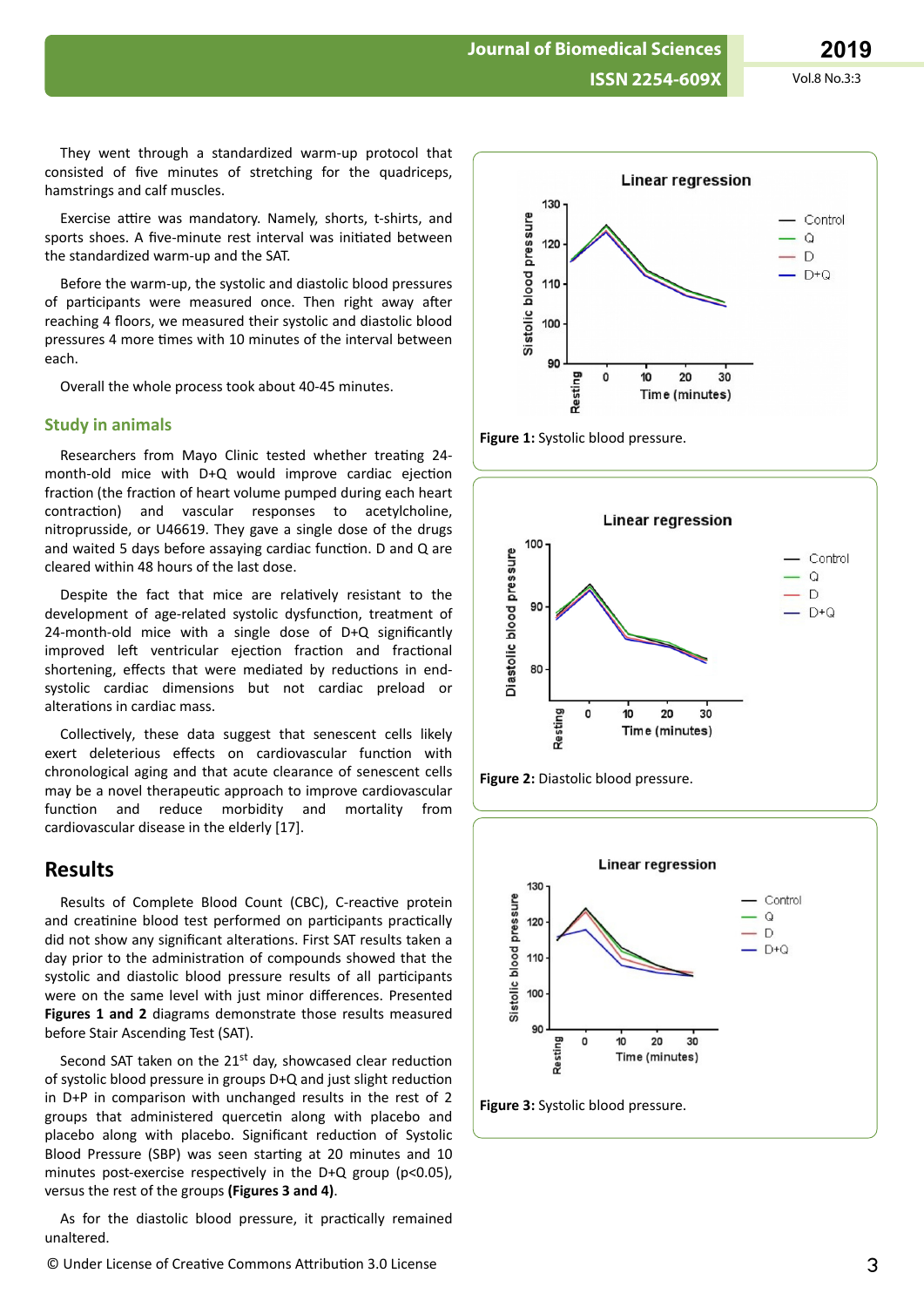**ISSN 2254-609X** Vol.8 No.3:3

**Journal of Biomedical Sciences**

They went through a standardized warm-up protocol that consisted of five minutes of stretching for the quadriceps, hamstrings and calf muscles.

Exercise attire was mandatory. Namely, shorts, t-shirts, and sports shoes. A five-minute rest interval was initiated between the standardized warm-up and the SAT.

Before the warm-up, the systolic and diastolic blood pressures of participants were measured once. Then right away after reaching 4 floors, we measured their systolic and diastolic blood pressures 4 more times with 10 minutes of the interval between each.

Overall the whole process took about 40-45 minutes.

#### **Study in animals**

Researchers from Mayo Clinic tested whether treating 24month-old mice with D+Q would improve cardiac ejection fraction (the fraction of heart volume pumped during each heart contraction) and vascular responses to acetylcholine, nitroprusside, or U46619. They gave a single dose of the drugs and waited 5 days before assaying cardiac function. D and Q are cleared within 48 hours of the last dose.

Despite the fact that mice are relatively resistant to the development of age-related systolic dysfunction, treatment of 24-month-old mice with a single dose of D+Q significantly improved left ventricular ejection fraction and fractional shortening, effects that were mediated by reductions in endsystolic cardiac dimensions but not cardiac preload or alterations in cardiac mass.

Collectively, these data suggest that senescent cells likely exert deleterious effects on cardiovascular function with chronological aging and that acute clearance of senescent cells may be a novel therapeutic approach to improve cardiovascular function and reduce morbidity and mortality from cardiovascular disease in the elderly [17].

#### **Results**

Results of Complete Blood Count (CBC), C-reactive protein and creatinine blood test performed on participants practically did not show any significant alterations. First SAT results taken a day prior to the administration of compounds showed that the systolic and diastolic blood pressure results of all participants were on the same level with just minor differences. Presented **Figures 1 and 2** diagrams demonstrate those results measured before Stair Ascending Test (SAT).

Second SAT taken on the 21<sup>st</sup> day, showcased clear reduction of systolic blood pressure in groups  $D+Q$  and just slight reduction in D+P in comparison with unchanged results in the rest of 2 groups that administered quercetin along with placebo and placebo along with placebo. Significant reduction of Systolic Blood Pressure (SBP) was seen starting at 20 minutes and 10 minutes post-exercise respectively in the D+Q group (p<0.05), versus the rest of the groups **(Figures 3 and 4)**.

As for the diastolic blood pressure, it practically remained unaltered.







![](_page_3_Figure_18.jpeg)

![](_page_3_Figure_19.jpeg)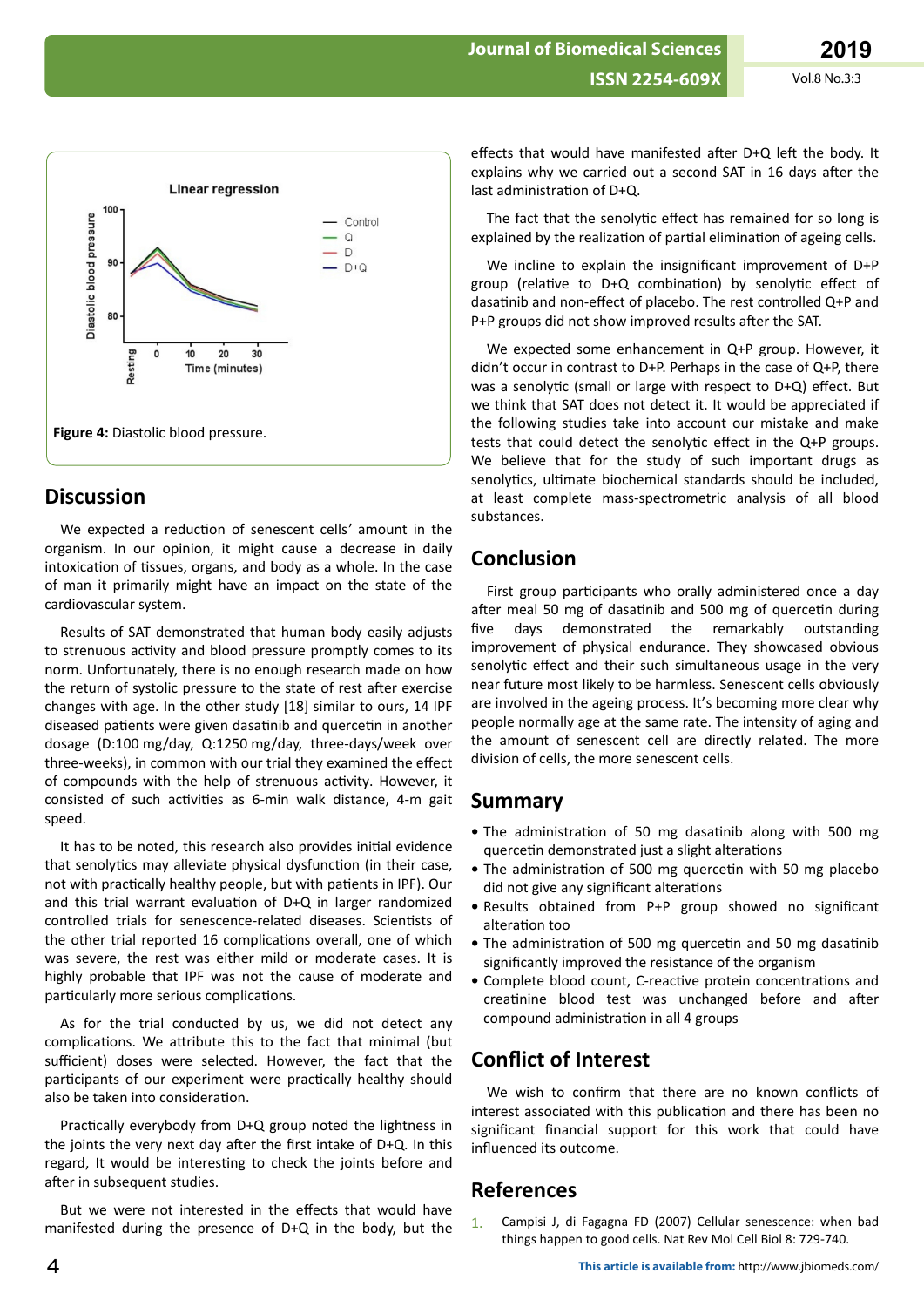![](_page_4_Figure_3.jpeg)

### **Discussion**

We expected a reduction of senescent cells' amount in the organism. In our opinion, it might cause a decrease in daily intoxication of tissues, organs, and body as a whole. In the case of man it primarily might have an impact on the state of the cardiovascular system.

Results of SAT demonstrated that human body easily adjusts to strenuous activity and blood pressure promptly comes to its norm. Unfortunately, there is no enough research made on how the return of systolic pressure to the state of rest after exercise changes with age. In the other study [18] similar to ours, 14 IPF diseased patients were given dasatinib and quercetin in another dosage (D:100 mg/day, Q:1250 mg/day, three-days/week over three-weeks), in common with our trial they examined the effect of compounds with the help of strenuous activity. However, it consisted of such activities as 6-min walk distance, 4-m gait speed.

It has to be noted, this research also provides initial evidence that senolytics may alleviate physical dysfunction (in their case, not with practically healthy people, but with patients in IPF). Our and this trial warrant evaluation of D+Q in larger randomized controlled trials for senescence-related diseases. Scientists of the other trial reported 16 complications overall, one of which was severe, the rest was either mild or moderate cases. It is highly probable that IPF was not the cause of moderate and particularly more serious complications.

As for the trial conducted by us, we did not detect any complications. We attribute this to the fact that minimal (but sufficient) doses were selected. However, the fact that the participants of our experiment were practically healthy should also be taken into consideration.

Practically everybody from D+Q group noted the lightness in the joints the very next day after the first intake of D+Q. In this regard, It would be interesting to check the joints before and after in subsequent studies.

But we were not interested in the effects that would have manifested during the presence of D+Q in the body, but the

effects that would have manifested after D+Q left the body. It explains why we carried out a second SAT in 16 days after the last administration of D+Q.

The fact that the senolytic effect has remained for so long is explained by the realization of partial elimination of ageing cells.

We incline to explain the insignificant improvement of  $D+P$ group (relative to D+Q combination) by senolytic effect of dasatinib and non-effect of placebo. The rest controlled Q+P and P+P groups did not show improved results after the SAT.

We expected some enhancement in Q+P group. However, it didn't occur in contrast to  $D+P$ . Perhaps in the case of  $Q+P$ , there was a senolytic (small or large with respect to D+Q) effect. But we think that SAT does not detect it. It would be appreciated if the following studies take into account our mistake and make tests that could detect the senolytic effect in the Q+P groups. We believe that for the study of such important drugs as senolytics, ultimate biochemical standards should be included, at least complete mass-spectrometric analysis of all blood substances.

## Conclusion

First group participants who orally administered once a day after meal 50 mg of dasatinib and 500 mg of quercetin during demonstrated the remarkably outstanding five davs improvement of physical endurance. They showcased obvious senolytic effect and their such simultaneous usage in the very near future most likely to be harmless. Senescent cells obviously are involved in the ageing process. It's becoming more clear why people normally age at the same rate. The intensity of aging and the amount of senescent cell are directly related. The more division of cells, the more senescent cells.

### **Summary**

- The administration of 50 mg dasatinib along with 500 mg quercetin demonstrated just a slight alterations
- The administration of 500 mg quercetin with 50 mg placebo did not give any significant alterations
- · Results obtained from P+P group showed no significant alteration too
- The administration of 500 mg quercetin and 50 mg dasatinib significantly improved the resistance of the organism
- Complete blood count, C-reactive protein concentrations and creatinine blood test was unchanged before and after compound administration in all 4 groups

## **Conflict of Interest**

We wish to confirm that there are no known conflicts of interest associated with this publication and there has been no significant financial support for this work that could have influenced its outcome.

## **References**

Campisi J, di Fagagna FD (2007) Cellular senescence: when bad  $1<sup>1</sup>$ things happen to good cells. Nat Rev Mol Cell Biol 8: 729-740.